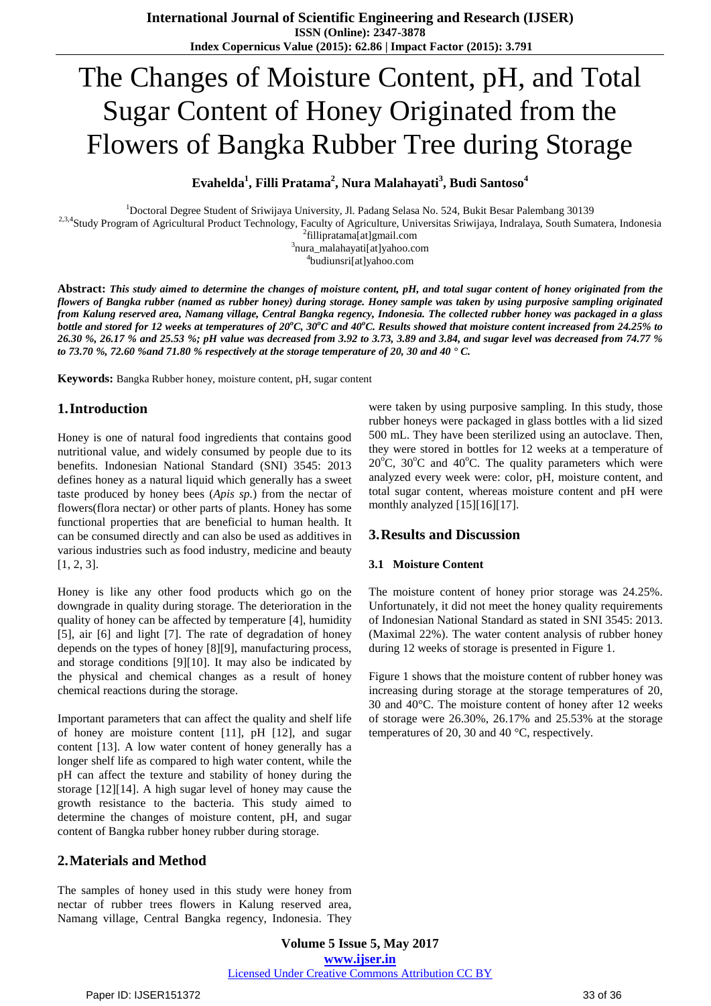# The Changes of Moisture Content, pH, and Total Sugar Content of Honey Originated from the Flowers of Bangka Rubber Tree during Storage

**Evahelda<sup>1</sup> , Filli Pratama<sup>2</sup> , Nura Malahayati<sup>3</sup> , Budi Santoso<sup>4</sup>**

Doctoral Degree Student of Sriwijaya University, Jl. Padang Selasa No. 524, Bukit Besar Palembang 30139 <sup>2,3,4</sup>Study Program of Agricultural Product Technology, Faculty of Agriculture, Universitas Sriwijaya, Indralaya, South Sumatera, Indonesia fillipratama[at]gmail.com nura\_malahayati[at]yahoo.com

4 budiunsri[at]yahoo.com

Abstract: This study aimed to determine the changes of moisture content, pH, and total sugar content of honey originated from the flowers of Bangka rubber (named as rubber honey) during storage. Honey sample was taken by using purposive sampling originated from Kalung reserved area, Namang village, Central Bangka regency, Indonesia. The collected rubber honey was packaged in a glass bottle and stored for 12 weeks at temperatures of  $20^{\circ}$ C,  $30^{\circ}$ C and  $40^{\circ}$ C. Results showed that moisture content increased from 24.25% to 26.30 %, 26.17 % and 25.53 %; pH value was decreased from 3.92 to 3.73, 3.89 and 3.84, and sugar level was decreased from 74.77 % to 73.70 %, 72.60 % and 71.80 % respectively at the storage temperature of 20, 30 and 40  $\cdot$  C.

**Keywords:** Bangka Rubber honey, moisture content, pH, sugar content

## **1.Introduction**

Honey is one of natural food ingredients that contains good nutritional value, and widely consumed by people due to its benefits. Indonesian National Standard (SNI) 3545: 2013 defines honey as a natural liquid which generally has a sweet taste produced by honey bees (*Apis sp.*) from the nectar of flowers(flora nectar) or other parts of plants. Honey has some functional properties that are beneficial to human health. It can be consumed directly and can also be used as additives in various industries such as food industry, medicine and beauty [1, 2, 3].

Honey is like any other food products which go on the downgrade in quality during storage. The deterioration in the quality of honey can be affected by temperature [4], humidity [5], air [6] and light [7]. The rate of degradation of honey depends on the types of honey [8][9], manufacturing process, and storage conditions [9][10]. It may also be indicated by the physical and chemical changes as a result of honey chemical reactions during the storage.

Important parameters that can affect the quality and shelf life of honey are moisture content [11], pH [12], and sugar content [13]. A low water content of honey generally has a longer shelf life as compared to high water content, while the pH can affect the texture and stability of honey during the storage [12][14]. A high sugar level of honey may cause the growth resistance to the bacteria. This study aimed to determine the changes of moisture content, pH, and sugar content of Bangka rubber honey rubber during storage.

## **2.Materials and Method**

The samples of honey used in this study were honey from nectar of rubber trees flowers in Kalung reserved area, Namang village, Central Bangka regency, Indonesia. They

were taken by using purposive sampling. In this study, those rubber honeys were packaged in glass bottles with a lid sized 500 mL. They have been sterilized using an autoclave. Then, they were stored in bottles for 12 weeks at a temperature of  $20^{\circ}$ C,  $30^{\circ}$ C and  $40^{\circ}$ C. The quality parameters which were analyzed every week were: color, pH, moisture content, and total sugar content, whereas moisture content and pH were monthly analyzed [15][16][17].

## **3.Results and Discussion**

### **3.1 Moisture Content**

The moisture content of honey prior storage was 24.25%. Unfortunately, it did not meet the honey quality requirements of Indonesian National Standard as stated in SNI 3545: 2013. (Maximal 22%). The water content analysis of rubber honey during 12 weeks of storage is presented in Figure 1.

Figure 1 shows that the moisture content of rubber honey was increasing during storage at the storage temperatures of 20, 30 and 40°C. The moisture content of honey after 12 weeks of storage were 26.30%, 26.17% and 25.53% at the storage temperatures of 20, 30 and 40 °C, respectively.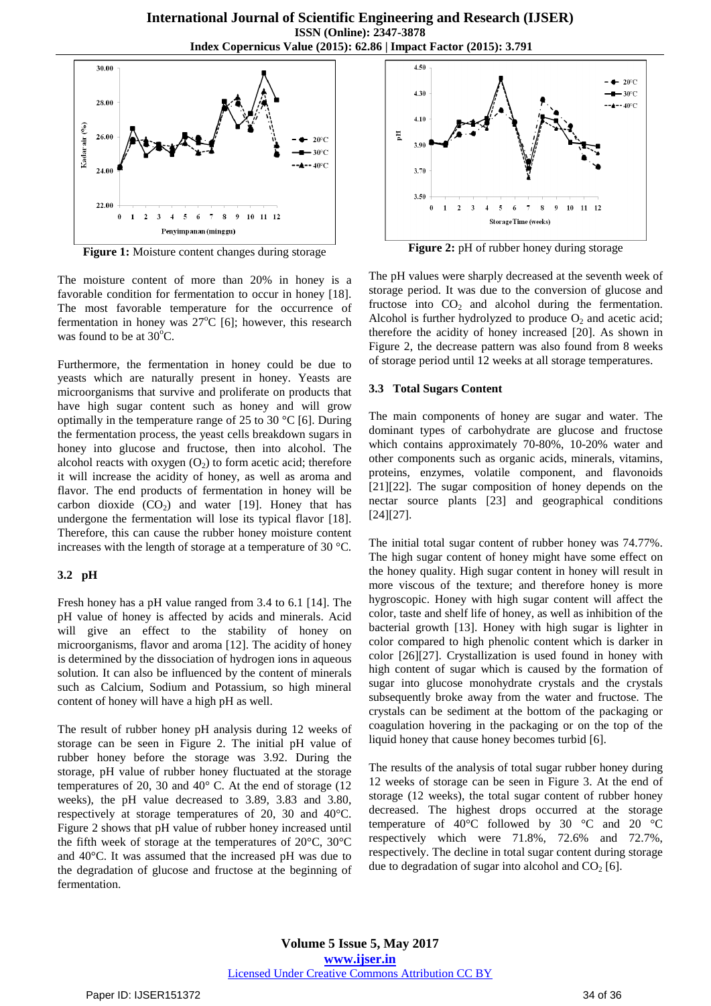

**Figure 1:** Moisture content changes during storage

The moisture content of more than 20% in honey is a favorable condition for fermentation to occur in honey [18]. The most favorable temperature for the occurrence of fermentation in honey was  $27^{\circ}C$  [6]; however, this research was found to be at  $30^{\circ}$ C.

Furthermore, the fermentation in honey could be due to yeasts which are naturally present in honey. Yeasts are microorganisms that survive and proliferate on products that have high sugar content such as honey and will grow optimally in the temperature range of 25 to 30 °C [6]. During the fermentation process, the yeast cells breakdown sugars in honey into glucose and fructose, then into alcohol. The alcohol reacts with oxygen  $(O<sub>2</sub>)$  to form acetic acid; therefore it will increase the acidity of honey, as well as aroma and flavor. The end products of fermentation in honey will be carbon dioxide  $(CO<sub>2</sub>)$  and water [19]. Honey that has undergone the fermentation will lose its typical flavor [18]. Therefore, this can cause the rubber honey moisture content increases with the length of storage at a temperature of 30 °C.

### **3.2 pH**

Fresh honey has a pH value ranged from 3.4 to 6.1 [14]. The pH value of honey is affected by acids and minerals. Acid will give an effect to the stability of honey on microorganisms, flavor and aroma [12]. The acidity of honey is determined by the dissociation of hydrogen ions in aqueous solution. It can also be influenced by the content of minerals such as Calcium, Sodium and Potassium, so high mineral content of honey will have a high pH as well.

The result of rubber honey pH analysis during 12 weeks of storage can be seen in Figure 2. The initial pH value of rubber honey before the storage was 3.92. During the storage, pH value of rubber honey fluctuated at the storage temperatures of 20, 30 and 40° C. At the end of storage (12 weeks), the pH value decreased to 3.89, 3.83 and 3.80, respectively at storage temperatures of 20, 30 and 40°C. Figure 2 shows that pH value of rubber honey increased until the fifth week of storage at the temperatures of 20°C, 30°C and 40°C. It was assumed that the increased pH was due to the degradation of glucose and fructose at the beginning of fermentation.



**Figure 2:** pH of rubber honey during storage

The pH values were sharply decreased at the seventh week of storage period. It was due to the conversion of glucose and fructose into  $CO<sub>2</sub>$  and alcohol during the fermentation. Alcohol is further hydrolyzed to produce  $O_2$  and acetic acid; therefore the acidity of honey increased [20]. As shown in Figure 2, the decrease pattern was also found from 8 weeks of storage period until 12 weeks at all storage temperatures.

### **3.3 Total Sugars Content**

The main components of honey are sugar and water. The dominant types of carbohydrate are glucose and fructose which contains approximately 70-80%, 10-20% water and other components such as organic acids, minerals, vitamins, proteins, enzymes, volatile component, and flavonoids [21][22]. The sugar composition of honey depends on the nectar source plants [23] and geographical conditions [24][27].

The initial total sugar content of rubber honey was 74.77%. The high sugar content of honey might have some effect on the honey quality. High sugar content in honey will result in more viscous of the texture; and therefore honey is more hygroscopic. Honey with high sugar content will affect the color, taste and shelf life of honey, as well as inhibition of the bacterial growth [13]. Honey with high sugar is lighter in color compared to high phenolic content which is darker in color [26][27]. Crystallization is used found in honey with high content of sugar which is caused by the formation of sugar into glucose monohydrate crystals and the crystals subsequently broke away from the water and fructose. The crystals can be sediment at the bottom of the packaging or coagulation hovering in the packaging or on the top of the liquid honey that cause honey becomes turbid [6].

The results of the analysis of total sugar rubber honey during 12 weeks of storage can be seen in Figure 3. At the end of storage (12 weeks), the total sugar content of rubber honey decreased. The highest drops occurred at the storage temperature of 40 $^{\circ}$ C followed by 30  $^{\circ}$ C and 20  $^{\circ}$ C respectively which were 71.8%, 72.6% and 72.7%, respectively. The decline in total sugar content during storage due to degradation of sugar into alcohol and  $CO<sub>2</sub>$  [6].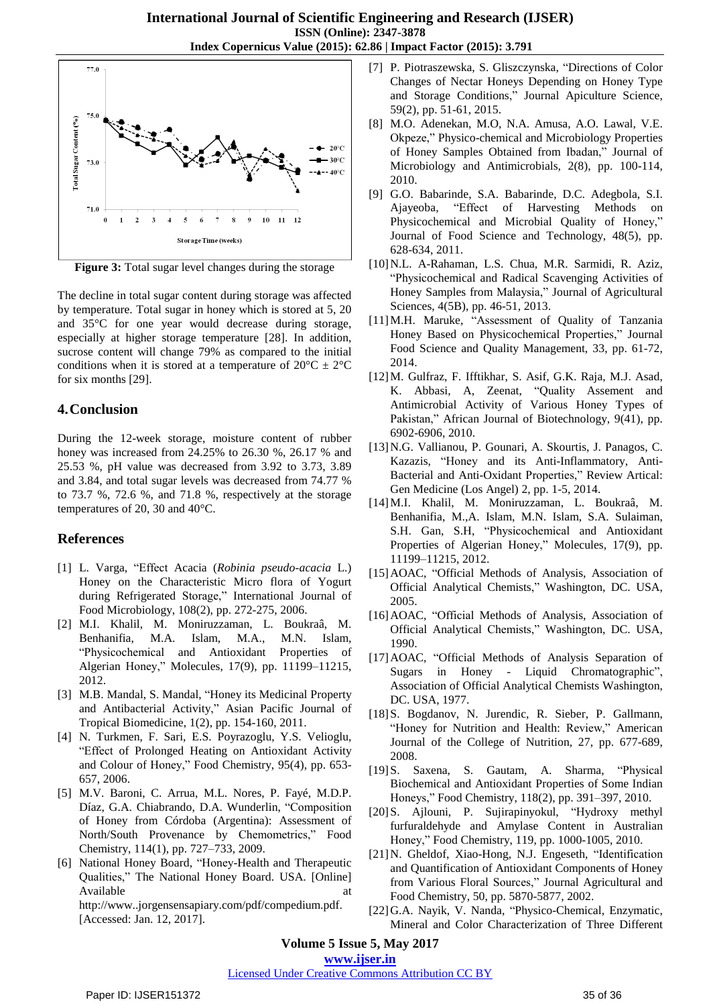

**Figure 3:** Total sugar level changes during the storage

The decline in total sugar content during storage was affected by temperature. Total sugar in honey which is stored at 5, 20 and 35°C for one year would decrease during storage, especially at higher storage temperature [28]. In addition, sucrose content will change 79% as compared to the initial conditions when it is stored at a temperature of  $20^{\circ}$ C  $\pm 2^{\circ}$ C for six months [29].

#### **4.Conclusion**

During the 12-week storage, moisture content of rubber honey was increased from 24.25% to 26.30 %, 26.17 % and 25.53 %, pH value was decreased from 3.92 to 3.73, 3.89 and 3.84, and total sugar levels was decreased from 74.77 % to 73.7 %, 72.6 %, and 71.8 %, respectively at the storage temperatures of 20, 30 and 40°C.

#### **References**

- [1] L. Varga, "Effect Acacia (*Robinia pseudo-acacia* L.) Honey on the Characteristic Micro flora of Yogurt during Refrigerated Storage," International Journal of Food Microbiology, 108(2), pp. 272-275, 2006.
- [2] M.I. Khalil, M. Moniruzzaman, L. Boukraâ, M. Benhanifia, M.A. Islam, M.A., M.N. Islam, "Physicochemical and Antioxidant Properties of Algerian Honey," Molecules, 17(9), pp. 11199–11215, 2012.
- [3] M.B. Mandal, S. Mandal, "Honey its Medicinal Property and Antibacterial Activity," Asian Pacific Journal of Tropical Biomedicine, 1(2), pp. 154-160, 2011.
- [4] N. Turkmen, F. Sari, E.S. Poyrazoglu, Y.S. Velioglu, "Effect of Prolonged Heating on Antioxidant Activity and Colour of Honey," Food Chemistry, 95(4), pp. 653- 657, 2006.
- [5] M.V. Baroni, C. Arrua, M.L. Nores, P. Fayé, M.D.P. Díaz, G.A. Chiabrando, D.A. Wunderlin, "Composition of Honey from Córdoba (Argentina): Assessment of North/South Provenance by Chemometrics," Food Chemistry, 114(1), pp. 727–733, 2009.
- [6] National Honey Board, "Honey-Health and Therapeutic Qualities," The National Honey Board. USA. [Online] Available at a state of  $\alpha$  at a state of  $\alpha$  at a state of  $\alpha$  at a state of  $\alpha$  at a state of  $\alpha$  at a state of  $\alpha$  at a state of  $\alpha$  at a state of  $\alpha$  at a state of  $\alpha$  at a state of  $\alpha$  at a state of  $\alpha$  at [http://www..jorgensensapiary.com/pdf/compedium.pdf.](http://www..jorgensensapiary.com/pdf/compedium.pdf) [Accessed: Jan. 12, 2017].

[7] P. Piotraszewska, S. Gliszczynska, "Directions of Color Changes of Nectar Honeys Depending on Honey Type and Storage Conditions," Journal Apiculture Science, 59(2), pp. 51-61, 2015.

- [8] M.O. Adenekan, M.O, N.A. Amusa, A.O. Lawal, V.E. Okpeze," Physico-chemical and Microbiology Properties of Honey Samples Obtained from Ibadan," Journal of Microbiology and Antimicrobials, 2(8), pp. 100-114, 2010.
- [9] G.O. Babarinde, S.A. Babarinde, D.C. Adegbola, S.I. Ajayeoba, "Effect of Harvesting Methods on Physicochemical and Microbial Quality of Honey," Journal of Food Science and Technology, 48(5), pp. 628-634, 2011.
- [10]N.L. A-Rahaman, L.S. Chua, M.R. Sarmidi, R. Aziz, "Physicochemical and Radical Scavenging Activities of Honey Samples from Malaysia," Journal of Agricultural Sciences, 4(5B), pp. 46-51, 2013.
- [11]M.H. Maruke, "Assessment of Quality of Tanzania Honey Based on Physicochemical Properties," Journal Food Science and Quality Management, 33, pp. 61-72, 2014.
- [12]M. Gulfraz, F. Ifftikhar, S. Asif, G.K. Raja, M.J. Asad, K. Abbasi, A, Zeenat, "Quality Assement and Antimicrobial Activity of Various Honey Types of Pakistan," African Journal of Biotechnology, 9(41), pp. 6902-6906, 2010.
- [13]N.G. Vallianou, P. Gounari, A. Skourtis, J. Panagos, C. Kazazis, "Honey and its Anti-Inflammatory, Anti-Bacterial and Anti-Oxidant Properties," Review Artical: Gen Medicine (Los Angel) 2, pp. 1-5, 2014.
- [14]M.I. Khalil, M. Moniruzzaman, L. Boukraâ, M. Benhanifia, M.,A. Islam, M.N. Islam, S.A. Sulaiman, S.H. Gan, S.H, "Physicochemical and Antioxidant Properties of Algerian Honey," Molecules, 17(9), pp. 11199–11215, 2012.
- [15] AOAC, "Official Methods of Analysis, Association of Official Analytical Chemists," Washington, DC. USA, 2005.
- [16] AOAC, "Official Methods of Analysis, Association of Official Analytical Chemists," Washington, DC. USA, 1990.
- [17]AOAC, "Official Methods of Analysis Separation of Sugars in Honey - Liquid Chromatographic", Association of Official Analytical Chemists Washington, DC. USA, 1977.
- [18] S. Bogdanov, N. Jurendic, R. Sieber, P. Gallmann, "Honey for Nutrition and Health: Review," American Journal of the College of Nutrition, 27, pp. 677-689, 2008.
- [19]S. Saxena, S. Gautam, A. Sharma, "Physical Biochemical and Antioxidant Properties of Some Indian Honeys," Food Chemistry, 118(2), pp. 391–397, 2010.
- [20]S. Ajlouni, P. Sujirapinyokul, "Hydroxy methyl furfuraldehyde and Amylase Content in Australian Honey," Food Chemistry, 119, pp. 1000-1005, 2010.
- [21]N. Gheldof, Xiao-Hong, N.J. Engeseth, "Identification and Quantification of Antioxidant Components of Honey from Various Floral Sources," Journal Agricultural and Food Chemistry, 50, pp. 5870-5877, 2002.
- [22]G.A. Nayik, V. Nanda, "Physico-Chemical, Enzymatic, Mineral and Color Characterization of Three Different

**Volume 5 Issue 5, May 2017**

**www.ijser.in**

#### Licensed Under Creative Commons Attribution CC BY